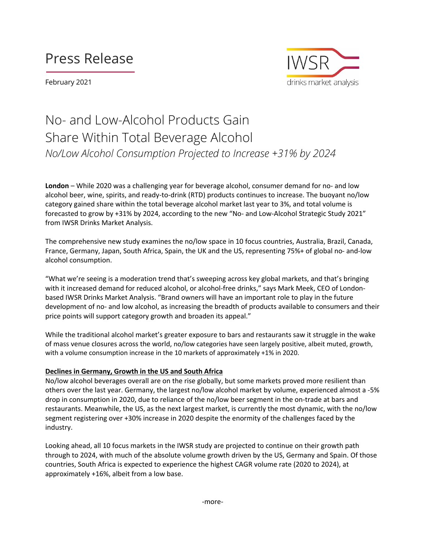# Press Release

February 2021



## No- and Low-Alcohol Products Gain Share Within Total Beverage Alcohol *No/Low Alcohol Consumption Projected to Increase +31% by 2024*

**London** – While 2020 was a challenging year for beverage alcohol, consumer demand for no- and low alcohol beer, wine, spirits, and ready-to-drink (RTD) products continues to increase. The buoyant no/low category gained share within the total beverage alcohol market last year to 3%, and total volume is forecasted to grow by +31% by 2024, according to the new "No- and Low-Alcohol Strategic Study 2021" from IWSR Drinks Market Analysis.

The comprehensive new study examines the no/low space in 10 focus countries, Australia, Brazil, Canada, France, Germany, Japan, South Africa, Spain, the UK and the US, representing 75%+ of global no- and-low alcohol consumption.

"What we're seeing is a moderation trend that's sweeping across key global markets, and that's bringing with it increased demand for reduced alcohol, or alcohol-free drinks," says Mark Meek, CEO of Londonbased IWSR Drinks Market Analysis. "Brand owners will have an important role to play in the future development of no- and low alcohol, as increasing the breadth of products available to consumers and their price points will support category growth and broaden its appeal."

While the traditional alcohol market's greater exposure to bars and restaurants saw it struggle in the wake of mass venue closures across the world, no/low categories have seen largely positive, albeit muted, growth, with a volume consumption increase in the 10 markets of approximately +1% in 2020.

### **Declines in Germany, Growth in the US and South Africa**

No/low alcohol beverages overall are on the rise globally, but some markets proved more resilient than others over the last year. Germany, the largest no/low alcohol market by volume, experienced almost a -5% drop in consumption in 2020, due to reliance of the no/low beer segment in the on-trade at bars and restaurants. Meanwhile, the US, as the next largest market, is currently the most dynamic, with the no/low segment registering over +30% increase in 2020 despite the enormity of the challenges faced by the industry.

Looking ahead, all 10 focus markets in the IWSR study are projected to continue on their growth path through to 2024, with much of the absolute volume growth driven by the US, Germany and Spain. Of those countries, South Africa is expected to experience the highest CAGR volume rate (2020 to 2024), at approximately +16%, albeit from a low base.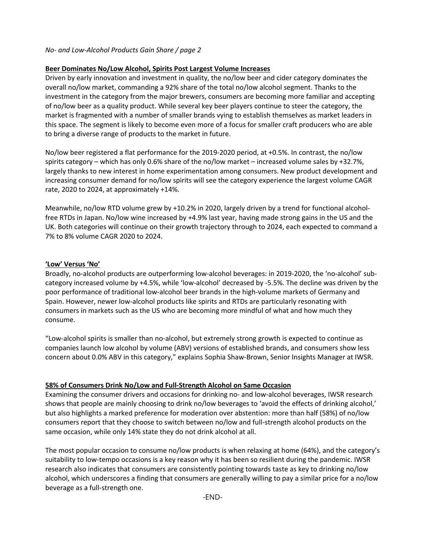## *No- and Low-Alcohol Products Gain Share / page 2*

## **Beer Dominates No/Low Alcohol, Spirits Post Largest Volume Increases**

Driven by early innovation and investment in quality, the no/low beer and cider category dominates the overall no/low market, commanding a 92% share of the total no/low alcohol segment. Thanks to the investment in the category from the major brewers, consumers are becoming more familiar and accepting of no/low beer as a quality product. While several key beer players continue to steer the category, the market is fragmented with a number of smaller brands vying to establish themselves as market leaders in this space. The segment is likely to become even more of a focus for smaller craft producers who are able to bring a diverse range of products to the market in future.

No/low beer registered a flat performance for the 2019-2020 period, at +0.5%. In contrast, the no/low spirits category – which has only 0.6% share of the no/low market – increased volume sales by +32.7%, largely thanks to new interest in home experimentation among consumers. New product development and increasing consumer demand for no/low spirits will see the category experience the largest volume CAGR rate, 2020 to 2024, at approximately +14%.

Meanwhile, no/low RTD volume grew by +10.2% in 2020, largely driven by a trend for functional alcoholfree RTDs in Japan. No/low wine increased by +4.9% last year, having made strong gains in the US and the UK. Both categories will continue on their growth trajectory through to 2024, each expected to command a 7% to 8% volume CAGR 2020 to 2024.

### **'Low' Versus 'No'**

Broadly, no-alcohol products are outperforming low-alcohol beverages: in 2019-2020, the 'no-alcohol' subcategory increased volume by +4.5%, while 'low-alcohol' decreased by -5.5%. The decline was driven by the poor performance of traditional low-alcohol beer brands in the high-volume markets of Germany and Spain. However, newer low-alcohol products like spirits and RTDs are particularly resonating with consumers in markets such as the US who are becoming more mindful of what and how much they consume.

"Low-alcohol spirits is smaller than no-alcohol, but extremely strong growth is expected to continue as companies launch low alcohol by volume (ABV) versions of established brands, and consumers show less concern about 0.0% ABV in this category," explains Sophia Shaw-Brown, Senior Insights Manager at IWSR.

## **58% of Consumers Drink No/Low and Full-Strength Alcohol on Same Occasion**

Examining the consumer drivers and occasions for drinking no- and low-alcohol beverages, IWSR research shows that people are mainly choosing to drink no/low beverages to 'avoid the effects of drinking alcohol,' but also highlights a marked preference for moderation over abstention: more than half (58%) of no/low consumers report that they choose to switch between no/low and full-strength alcohol products on the same occasion, while only 14% state they do not drink alcohol at all.

The most popular occasion to consume no/low products is when relaxing at home (64%), and the category's suitability to low-tempo occasions is a key reason why it has been so resilient during the pandemic. IWSR research also indicates that consumers are consistently pointing towards taste as key to drinking no/low alcohol, which underscores a finding that consumers are generally willing to pay a similar price for a no/low beverage as a full-strength one.